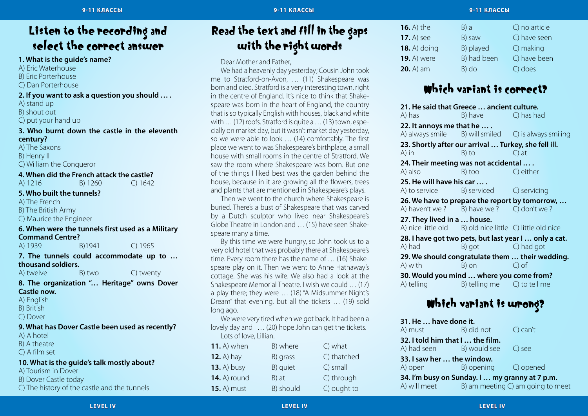### Listen to the recording and select the correct answer

### **1. What is the guide's name?**

A) Eric Waterhouse

B) Eric Porterhouse

C) Dan Porterhouse

### **2. If you want to ask a question you should … .**

A) stand up

B) shout out

C) put your hand up

### **3. Who burnt down the castle in the eleventh century?**

A) The Saxons B) Henry II C) William the Conqueror

### **4. When did the French attack the castle?**

A) 1216 B) 1260 C) 1642

### **5. Who built the tunnels?**

A) The French

B) The British Army

C) Maurice the Engineer

### **6. When were the tunnels first used as a Military Command Centre?**

A) 1939 B)1941 C) 1965

### **7. The tunnels could accommodate up to … thousand soldiers.**

A) twelve B) two C) twenty

#### **8. The organization "… Heritage" owns Dover Castle now.**

A) English

- B) British
- C) Dover

### **9. What has Dover Castle been used as recently?**

A) A hotel

B) A theatre

C) A film set

### **10. What is the guide's talk mostly about?**

A) Tourism in Dover

B) Dover Castle today

C) The history of the castle and the tunnels

### Read the text and fill in the gaps with the right words

Dear Mother and Father,

We had a heavenly day yesterday; Cousin John took me to Stratford-on-Avon, … (11) Shakespeare was born and died. Stratford is a very interesting town, right in the centre of England. It's nice to think that Shakespeare was born in the heart of England, the country that is so typically English with houses, black and white with … (12) roofs. Stratford is quite a … (13) town, especially on market day, but it wasn't market day yesterday, so we were able to look … (14) comfortably. The first place we went to was Shakespeare's birthplace, a small house with small rooms in the centre of Stratford. We saw the room where Shakespeare was born. But one of the things I liked best was the garden behind the house, because in it are growing all the flowers, trees and plants that are mentioned in Shakespeare's plays.

Then we went to the church where Shakespeare is buried. There's a bust of Shakespeare that was carved by a Dutch sculptor who lived near Shakespeare's Globe Theatre in London and … (15) have seen Shakespeare many a time.

By this time we were hungry, so John took us to a very old hotel that was probably there at Shakespeare's time. Every room there has the name of … (16) Shakespeare play on it. Then we went to Anne Hathaway's cottage. She was his wife. We also had a look at the Shakespeare Memorial Theatre. I wish we could … (17) a play there; they were … (18) "A Midsummer Night's Dream" that evening, but all the tickets … (19) sold long ago.

We were very tired when we got back. It had been a lovely day and I … (20) hope John can get the tickets. Lots of love, Lillian.

| <b>11.</b> A) when  | B) where  | $C)$ what   |
|---------------------|-----------|-------------|
| <b>12.</b> A) hay   | B) grass  | C) thatched |
| <b>13.</b> A) busy  | B) quiet  | C) small    |
| <b>14.</b> A) round | B) at     | C) through  |
| <b>15.</b> A) must  | B) should | C) ought to |

| $16.$ A) the        | B) a        | C) no article |
|---------------------|-------------|---------------|
| <b>17.</b> A) see   | B) saw      | C) have seen  |
| <b>18.</b> A) doing | B) played   | C) making     |
| <b>19.</b> A) were  | B) had been | C) have been  |
| <b>20.</b> A) am    | $B)$ do     | C) does       |

### Which variant is correct?

| A) has                      | 21. He said that Greece  ancient culture.<br>B) have     | C) has had                                            |
|-----------------------------|----------------------------------------------------------|-------------------------------------------------------|
| 22. It annoys me that he  . |                                                          |                                                       |
|                             |                                                          | A) always smile B) will smiled C) is always smiling   |
|                             | 23. Shortly after our arrival  Turkey, she fell ill.     |                                                       |
| A) in                       | B) to                                                    | $C$ ) at                                              |
|                             | 24. Their meeting was not accidental  .                  |                                                       |
| A) also                     | B) too                                                   | C) either                                             |
| 25. He will have his car    |                                                          |                                                       |
|                             | A) to service B) serviced C) servicing                   |                                                       |
|                             |                                                          | 26. We have to prepare the report by tomorrow,        |
|                             | A) haven't we ? B) have we ? C) don't we ?               |                                                       |
| 27. They lived in a  house. |                                                          |                                                       |
|                             | A) nice little old B) old nice little C) little old nice |                                                       |
|                             |                                                          | 28. I have got two pets, but last year I  only a cat. |
| A) had                      | B) got C) had got                                        |                                                       |
|                             |                                                          | 29. We should congratulate them  their wedding.       |
| A) with                     | B) on                                                    | $C$ ) of                                              |
|                             | 30. Would you mind  where you come from?                 |                                                       |
| A) telling                  | B) telling me C) to tell me                              |                                                       |

### Which variant is wrong?

| 31. He  have done it.                          |                     |                                   |  |
|------------------------------------------------|---------------------|-----------------------------------|--|
| A) must<br><u>Kalendari ya </u>                | B) did not C) can't |                                   |  |
| 32. I told him that I  the film.               |                     |                                   |  |
| A) had seen B) would see C) see                |                     |                                   |  |
| 33. I saw her  the window.                     |                     |                                   |  |
| A) open B) opening C) opened                   |                     |                                   |  |
| 34. I'm busy on Sunday. I  my granny at 7 p.m. |                     |                                   |  |
| A) will meet                                   |                     | B) am meeting C) am going to meet |  |
|                                                |                     |                                   |  |